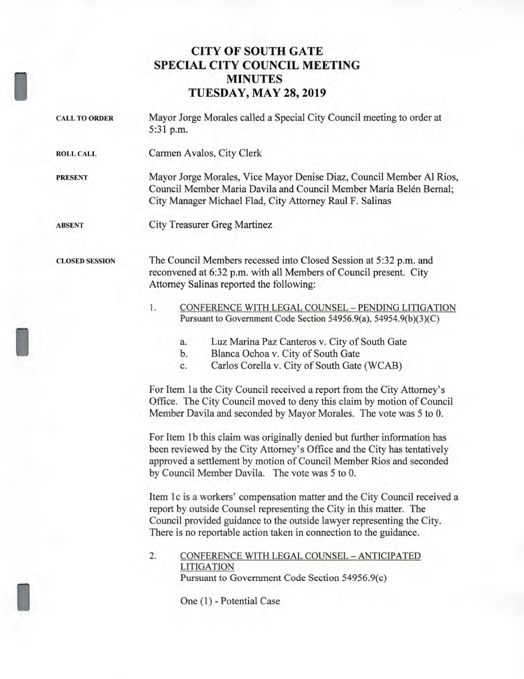## **CITY OF SOUTH GATE SPECIAL CITY COUNCIL MEETING MINUTES TUESDAY, MAY 28, 2019**

- **CALL TO ORDER** Mayor Jorge Morales called a Special City Council meeting to order at 5:31 p.m.
- **ROLL CALL** Carmen Avalos, City Clerk

**PRESENT** Mayor Jorge Morales, Vice Mayor Denise Diaz, Council Member Al Rios, Council Member Maria Davila and Council Member María Belén Bernal; City Manager Michael Flad, City Attorney Raul F. Salinas

**ABSENT** City Treasurer Greg Martinez

**CLOSED SESSION** The Council Members recessed into Closed Session at 5:32 p.m. and reconvened at 6:32 p.m. with all Members of Council present. City Attorney Salinas reported the following:

- 1. CONFERENCE WITH LEGAL COUNSEL PENDING LITIGATION Pursuant to Government Code Section 54956.9(a), 54954.9(b)(3)(C)
	- a. Luz Marina Paz Canteros v. City of South Gate
	- b. Blanca Ochoa v. City of South Gate
	- c. Carlos Corella v. City of South Gate (WCAB)

For Item 1a the City Council received a report from the City Attorney's Office. The City Council moved to deny this claim by motion of Council Member Davila and seconded by Mayor Morales. The vote was 5 to 0.

For Item lb this claim was originally denied but further information has been reviewed by the City Attorney's Office and the City has tentatively approved a settlement by motion of Council Member Rios and seconded by Council Member Davila. The vote was 5 to 0.

Item lc is a workers' compensation matter and the City Council received a report by outside Counsel representing the City in this matter. The Council provided guidance to the outside lawyer representing the City. There is no reportable action taken in connection to the guidance.

## 2. CONFERENCE WITH LEGAL COUNSEL — ANTICIPATED LITIGATION Pursuant to Government Code Section 54956.9(c)

One (1) - Potential Case